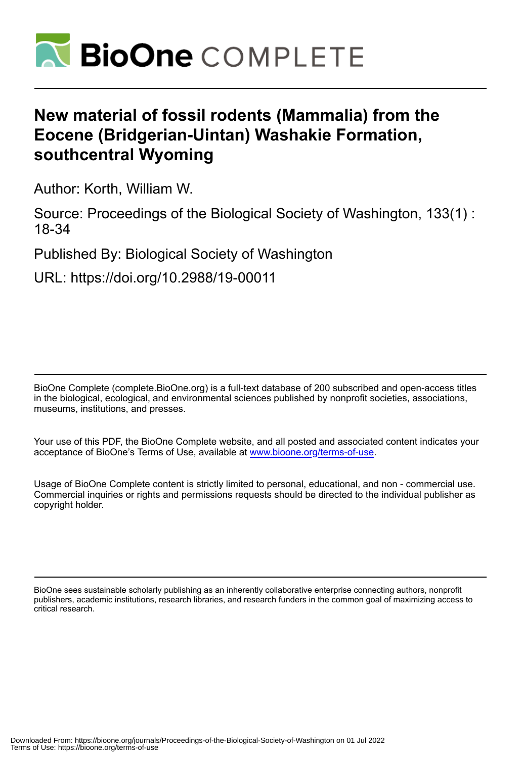

# **New material of fossil rodents (Mammalia) from the Eocene (Bridgerian-Uintan) Washakie Formation, southcentral Wyoming**

Author: Korth, William W.

Source: Proceedings of the Biological Society of Washington, 133(1) : 18-34

Published By: Biological Society of Washington

URL: https://doi.org/10.2988/19-00011

BioOne Complete (complete.BioOne.org) is a full-text database of 200 subscribed and open-access titles in the biological, ecological, and environmental sciences published by nonprofit societies, associations, museums, institutions, and presses.

Your use of this PDF, the BioOne Complete website, and all posted and associated content indicates your acceptance of BioOne's Terms of Use, available at www.bioone.org/terms-of-use.

Usage of BioOne Complete content is strictly limited to personal, educational, and non - commercial use. Commercial inquiries or rights and permissions requests should be directed to the individual publisher as copyright holder.

BioOne sees sustainable scholarly publishing as an inherently collaborative enterprise connecting authors, nonprofit publishers, academic institutions, research libraries, and research funders in the common goal of maximizing access to critical research.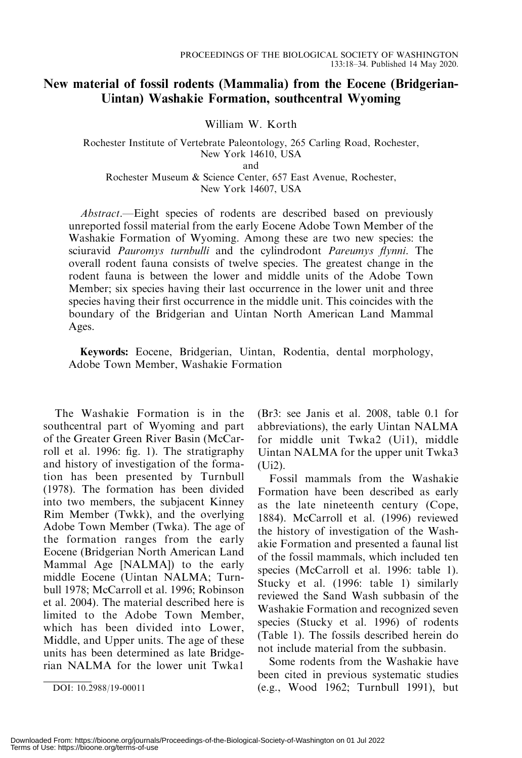## New material of fossil rodents (Mammalia) from the Eocene (Bridgerian-Uintan) Washakie Formation, southcentral Wyoming

William W. Korth

Rochester Institute of Vertebrate Paleontology, 265 Carling Road, Rochester, New York 14610, USA and Rochester Museum & Science Center, 657 East Avenue, Rochester, New York 14607, USA

Abstract.—Eight species of rodents are described based on previously unreported fossil material from the early Eocene Adobe Town Member of the Washakie Formation of Wyoming. Among these are two new species: the sciuravid Pauromys turnbulli and the cylindrodont Pareumys flynni. The overall rodent fauna consists of twelve species. The greatest change in the rodent fauna is between the lower and middle units of the Adobe Town Member; six species having their last occurrence in the lower unit and three species having their first occurrence in the middle unit. This coincides with the boundary of the Bridgerian and Uintan North American Land Mammal Ages.

Keywords: Eocene, Bridgerian, Uintan, Rodentia, dental morphology, Adobe Town Member, Washakie Formation

The Washakie Formation is in the southcentral part of Wyoming and part of the Greater Green River Basin (McCarroll et al. 1996: fig. 1). The stratigraphy and history of investigation of the formation has been presented by Turnbull (1978). The formation has been divided into two members, the subjacent Kinney Rim Member (Twkk), and the overlying Adobe Town Member (Twka). The age of the formation ranges from the early Eocene (Bridgerian North American Land Mammal Age [NALMA]) to the early middle Eocene (Uintan NALMA; Turnbull 1978; McCarroll et al. 1996; Robinson et al. 2004). The material described here is limited to the Adobe Town Member, which has been divided into Lower, Middle, and Upper units. The age of these units has been determined as late Bridgerian NALMA for the lower unit Twka1

(Br3: see Janis et al. 2008, table 0.1 for abbreviations), the early Uintan NALMA for middle unit Twka2 (Ui1), middle Uintan NALMA for the upper unit Twka3 (Ui2).

Fossil mammals from the Washakie Formation have been described as early as the late nineteenth century (Cope, 1884). McCarroll et al. (1996) reviewed the history of investigation of the Washakie Formation and presented a faunal list of the fossil mammals, which included ten species (McCarroll et al. 1996: table 1). Stucky et al. (1996: table 1) similarly reviewed the Sand Wash subbasin of the Washakie Formation and recognized seven species (Stucky et al. 1996) of rodents (Table 1). The fossils described herein do not include material from the subbasin.

Some rodents from the Washakie have been cited in previous systematic studies DOI: 10.2988/19-00011 (e.g., Wood 1962; Turnbull 1991), but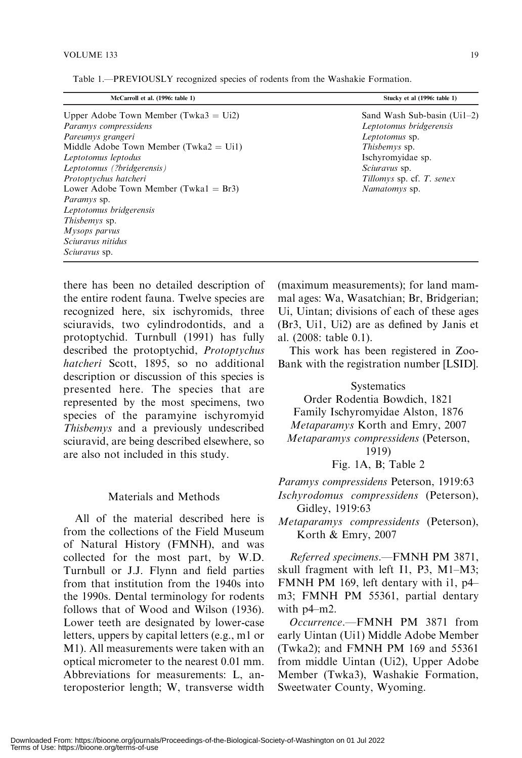| McCarroll et al. (1996: table 1)                 | Stucky et al (1996: table 1)   |
|--------------------------------------------------|--------------------------------|
| Upper Adobe Town Member (Twka $3 = U(2)$ )       | Sand Wash Sub-basin $(U_11-2)$ |
| Paramys compressidens                            | Leptotomus bridgerensis        |
| Pareumys grangeri                                | Leptotomus sp.                 |
| Middle Adobe Town Member (Twka $2 = \text{Ui}$ ) | <i>Thisbemys</i> sp.           |
| Leptotomus leptodus                              | Ischyromyidae sp.              |
| Leptotomus (?bridgerensis)                       | Sciuravus sp.                  |
| Protoptychus hatcheri                            | Tillomys sp. cf. T. senex      |
| Lower Adobe Town Member (Twka $1 = Br3$ )        | Namatomys sp.                  |
| <i>Paramys</i> sp.                               |                                |
| Leptotomus bridgerensis                          |                                |
| <i>Thisbemys</i> sp.                             |                                |
| Mysops parvus                                    |                                |
| Sciuravus nitidus                                |                                |
| Sciuravus sp.                                    |                                |

Table 1.—PREVIOUSLY recognized species of rodents from the Washakie Formation.

there has been no detailed description of the entire rodent fauna. Twelve species are recognized here, six ischyromids, three sciuravids, two cylindrodontids, and a protoptychid. Turnbull (1991) has fully described the protoptychid, Protoptychus hatcheri Scott, 1895, so no additional description or discussion of this species is presented here. The species that are represented by the most specimens, two species of the paramyine ischyromyid Thisbemys and a previously undescribed sciuravid, are being described elsewhere, so are also not included in this study.

## Materials and Methods

All of the material described here is from the collections of the Field Museum of Natural History (FMNH), and was collected for the most part, by W.D. Turnbull or J.J. Flynn and field parties from that institution from the 1940s into the 1990s. Dental terminology for rodents follows that of Wood and Wilson (1936). Lower teeth are designated by lower-case letters, uppers by capital letters (e.g., m1 or M1). All measurements were taken with an optical micrometer to the nearest 0.01 mm. Abbreviations for measurements: L, anteroposterior length; W, transverse width (maximum measurements); for land mammal ages: Wa, Wasatchian; Br, Bridgerian; Ui, Uintan; divisions of each of these ages (Br3, Ui1, Ui2) are as defined by Janis et al. (2008: table 0.1).

This work has been registered in Zoo-Bank with the registration number [LSID].

**Systematics** Order Rodentia Bowdich, 1821 Family Ischyromyidae Alston, 1876 Metaparamys Korth and Emry, 2007 Metaparamys compressidens (Peterson, 1919) Fig. 1A, B; Table 2

Paramys compressidens Peterson, 1919:63 Ischyrodomus compressidens (Peterson), Gidley, 1919:63

Metaparamys compressidents (Peterson), Korth & Emry, 2007

Referred specimens.—FMNH PM 3871, skull fragment with left I1, P3, M1–M3; FMNH PM 169, left dentary with i1, p4– m3; FMNH PM 55361, partial dentary with p4–m2.

Occurrence.—FMNH PM 3871 from early Uintan (Ui1) Middle Adobe Member (Twka2); and FMNH PM 169 and 55361 from middle Uintan (Ui2), Upper Adobe Member (Twka3), Washakie Formation, Sweetwater County, Wyoming.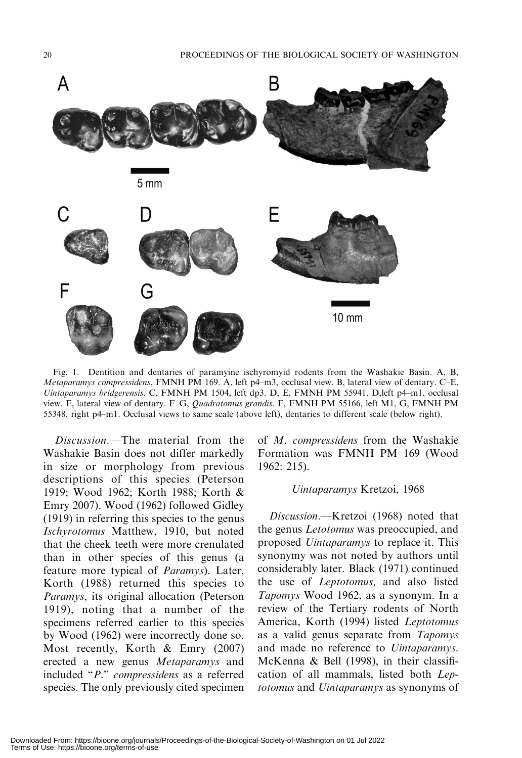

Fig. 1. Dentition and dentaries of paramyine ischyromyid rodents from the Washakie Basin. A, B, Metaparamys compressidens, FMNH PM 169. A, left p4–m3, occlusal view. B, lateral view of dentary. C–E, Uintaparamys bridgerensis. C, FMNH PM 1504, left dp3. D, E, FMNH PM 55941. D,left p4–m1, occlusal view. E, lateral view of dentary. F–G, Quadratomus grandis. F, FMNH PM 55166, left M1, G, FMNH PM 55348, right p4–m1. Occlusal views to same scale (above left), dentaries to different scale (below right).

Discussion.—The material from the Washakie Basin does not differ markedly in size or morphology from previous descriptions of this species (Peterson 1919; Wood 1962; Korth 1988; Korth & Emry 2007). Wood (1962) followed Gidley (1919) in referring this species to the genus Ischyrotomus Matthew, 1910, but noted that the cheek teeth were more crenulated than in other species of this genus (a feature more typical of Paramys). Later, Korth (1988) returned this species to Paramys, its original allocation (Peterson 1919), noting that a number of the specimens referred earlier to this species by Wood (1962) were incorrectly done so. Most recently, Korth & Emry (2007) erected a new genus Metaparamys and included ''P.'' compressidens as a referred species. The only previously cited specimen of M. compressidens from the Washakie Formation was FMNH PM 169 (Wood 1962: 215).

#### Uintaparamys Kretzoi, 1968

Discussion.—Kretzoi (1968) noted that the genus Letotomus was preoccupied, and proposed Uintaparamys to replace it. This synonymy was not noted by authors until considerably later. Black (1971) continued the use of Leptotomus, and also listed Tapomys Wood 1962, as a synonym. In a review of the Tertiary rodents of North America, Korth (1994) listed Leptotomus as a valid genus separate from Tapomys and made no reference to Uintaparamys. McKenna & Bell (1998), in their classification of all mammals, listed both Leptotomus and Uintaparamys as synonyms of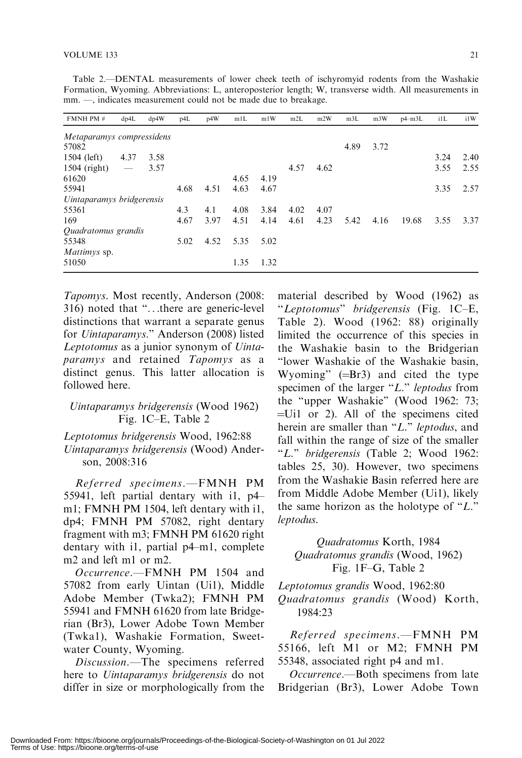| FMNH PM #                 | dp4L                     | dp4W | p4L  | p4W  | m1L  | m1W  | m2L  | m2W  | m3L  | m3W  | $p4 - m3L$ | i1L  | i1W  |
|---------------------------|--------------------------|------|------|------|------|------|------|------|------|------|------------|------|------|
| Metaparamys compressidens |                          |      |      |      |      |      |      |      |      |      |            |      |      |
| 57082                     |                          |      |      |      |      |      |      |      | 4.89 | 3.72 |            |      |      |
| $1504$ (left)             | 4.37                     | 3.58 |      |      |      |      |      |      |      |      |            | 3.24 | 2.40 |
| $1504$ (right)            | $\overline{\phantom{m}}$ | 3.57 |      |      |      |      | 4.57 | 4.62 |      |      |            | 3.55 | 2.55 |
| 61620                     |                          |      |      |      | 4.65 | 4.19 |      |      |      |      |            |      |      |
| 55941                     |                          |      | 4.68 | 4.51 | 4.63 | 4.67 |      |      |      |      |            | 3.35 | 2.57 |
| Uintaparamys bridgerensis |                          |      |      |      |      |      |      |      |      |      |            |      |      |
| 55361                     |                          |      | 4.3  | 4.1  | 4.08 | 3.84 | 4.02 | 4.07 |      |      |            |      |      |
| 169                       |                          |      | 4.67 | 3.97 | 4.51 | 4.14 | 4.61 | 4.23 | 5.42 | 4.16 | 19.68      | 3.55 | 3.37 |
| Quadratomus grandis       |                          |      |      |      |      |      |      |      |      |      |            |      |      |
| 55348                     |                          |      | 5.02 | 4.52 | 5.35 | 5.02 |      |      |      |      |            |      |      |
| Mattimys sp.              |                          |      |      |      |      |      |      |      |      |      |            |      |      |
| 51050                     |                          |      |      |      | 1.35 | 1.32 |      |      |      |      |            |      |      |
|                           |                          |      |      |      |      |      |      |      |      |      |            |      |      |

Table 2.—DENTAL measurements of lower cheek teeth of ischyromyid rodents from the Washakie Formation, Wyoming. Abbreviations: L, anteroposterior length; W, transverse width. All measurements in mm. —, indicates measurement could not be made due to breakage.

Tapomys. Most recently, Anderson (2008: 316) noted that ''...there are generic-level distinctions that warrant a separate genus for Uintaparamys.'' Anderson (2008) listed Leptotomus as a junior synonym of Uintaparamys and retained Tapomys as a distinct genus. This latter allocation is followed here.

## Uintaparamys bridgerensis (Wood 1962) Fig. 1C–E, Table 2

Leptotomus bridgerensis Wood, 1962:88 Uintaparamys bridgerensis (Wood) Anderson, 2008:316

Referred specimens.—FMNH PM 55941, left partial dentary with i1, p4– m1; FMNH PM 1504, left dentary with i1, dp4; FMNH PM 57082, right dentary fragment with m3; FMNH PM 61620 right dentary with i1, partial p4–m1, complete m2 and left m1 or m2.

Occurrence.—FMNH PM 1504 and 57082 from early Uintan (Ui1), Middle Adobe Member (Twka2); FMNH PM 55941 and FMNH 61620 from late Bridgerian (Br3), Lower Adobe Town Member (Twka1), Washakie Formation, Sweetwater County, Wyoming.

Discussion.—The specimens referred here to Uintaparamys bridgerensis do not differ in size or morphologically from the

material described by Wood (1962) as ''Leptotomus'' bridgerensis (Fig. 1C–E, Table 2). Wood (1962: 88) originally limited the occurrence of this species in the Washakie basin to the Bridgerian ''lower Washakie of the Washakie basin, Wyoming"  $(=\text{Br3})$  and cited the type specimen of the larger "L." leptodus from the "upper Washakie" (Wood 1962: 73;  $=$ Ui1 or 2). All of the specimens cited herein are smaller than "L." leptodus, and fall within the range of size of the smaller "L." bridgerensis (Table 2; Wood 1962: tables 25, 30). However, two specimens from the Washakie Basin referred here are from Middle Adobe Member (Ui1), likely the same horizon as the holotype of " $L$ ." leptodus.

## Quadratomus Korth, 1984 Quadratomus grandis (Wood, 1962) Fig. 1F–G, Table 2

Leptotomus grandis Wood, 1962:80

Quadratomus grandis (Wood) Korth, 1984:23

Referred specimens.—FMNH PM 55166, left M1 or M2; FMNH PM 55348, associated right p4 and m1.

Occurrence.—Both specimens from late Bridgerian (Br3), Lower Adobe Town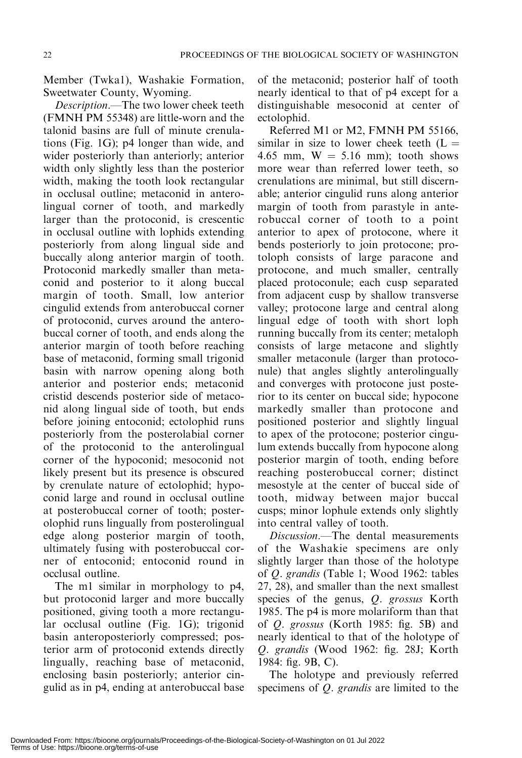Member (Twka1), Washakie Formation, Sweetwater County, Wyoming.

Description.—The two lower cheek teeth (FMNH PM 55348) are little-worn and the talonid basins are full of minute crenulations (Fig. 1G); p4 longer than wide, and wider posteriorly than anteriorly; anterior width only slightly less than the posterior width, making the tooth look rectangular in occlusal outline; metaconid in anterolingual corner of tooth, and markedly larger than the protoconid, is crescentic in occlusal outline with lophids extending posteriorly from along lingual side and buccally along anterior margin of tooth. Protoconid markedly smaller than metaconid and posterior to it along buccal margin of tooth. Small, low anterior cingulid extends from anterobuccal corner of protoconid, curves around the anterobuccal corner of tooth, and ends along the anterior margin of tooth before reaching base of metaconid, forming small trigonid basin with narrow opening along both anterior and posterior ends; metaconid cristid descends posterior side of metaconid along lingual side of tooth, but ends before joining entoconid; ectolophid runs posteriorly from the posterolabial corner of the protoconid to the anterolingual corner of the hypoconid; mesoconid not likely present but its presence is obscured by crenulate nature of ectolophid; hypoconid large and round in occlusal outline at posterobuccal corner of tooth; posterolophid runs lingually from posterolingual edge along posterior margin of tooth, ultimately fusing with posterobuccal corner of entoconid; entoconid round in occlusal outline.

The m1 similar in morphology to p4, but protoconid larger and more buccally positioned, giving tooth a more rectangular occlusal outline (Fig. 1G); trigonid basin anteroposteriorly compressed; posterior arm of protoconid extends directly lingually, reaching base of metaconid, enclosing basin posteriorly; anterior cingulid as in p4, ending at anterobuccal base of the metaconid; posterior half of tooth nearly identical to that of p4 except for a distinguishable mesoconid at center of ectolophid.

Referred M1 or M2, FMNH PM 55166, similar in size to lower cheek teeth  $(L =$ 4.65 mm,  $W = 5.16$  mm); tooth shows more wear than referred lower teeth, so crenulations are minimal, but still discernable; anterior cingulid runs along anterior margin of tooth from parastyle in anterobuccal corner of tooth to a point anterior to apex of protocone, where it bends posteriorly to join protocone; protoloph consists of large paracone and protocone, and much smaller, centrally placed protoconule; each cusp separated from adjacent cusp by shallow transverse valley; protocone large and central along lingual edge of tooth with short loph running buccally from its center; metaloph consists of large metacone and slightly smaller metaconule (larger than protoconule) that angles slightly anterolingually and converges with protocone just posterior to its center on buccal side; hypocone markedly smaller than protocone and positioned posterior and slightly lingual to apex of the protocone; posterior cingulum extends buccally from hypocone along posterior margin of tooth, ending before reaching posterobuccal corner; distinct mesostyle at the center of buccal side of tooth, midway between major buccal cusps; minor lophule extends only slightly into central valley of tooth.

Discussion.—The dental measurements of the Washakie specimens are only slightly larger than those of the holotype of Q. grandis (Table 1; Wood 1962: tables 27, 28), and smaller than the next smallest species of the genus, Q. grossus Korth 1985. The p4 is more molariform than that of Q. grossus (Korth 1985: fig. 5B) and nearly identical to that of the holotype of Q. grandis (Wood 1962: fig. 28J; Korth 1984: fig. 9B, C).

The holotype and previously referred specimens of Q. grandis are limited to the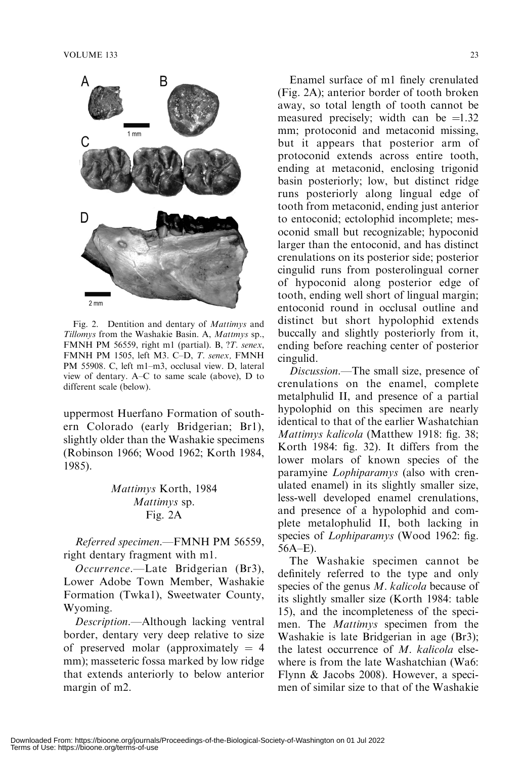

Fig. 2. Dentition and dentary of Mattimys and Tillomys from the Washakie Basin. A, Mattmys sp., FMNH PM 56559, right m1 (partial). B, ?T. senex, FMNH PM 1505, left M3. C–D, T. senex, FMNH PM 55908. C, left m1–m3, occlusal view. D, lateral view of dentary. A–C to same scale (above), D to different scale (below).

uppermost Huerfano Formation of southern Colorado (early Bridgerian; Br1), slightly older than the Washakie specimens (Robinson 1966; Wood 1962; Korth 1984, 1985).

## Mattimys Korth, 1984 Mattimys sp. Fig. 2A

Referred specimen.—FMNH PM 56559, right dentary fragment with m1.

Occurrence.—Late Bridgerian (Br3), Lower Adobe Town Member, Washakie Formation (Twka1), Sweetwater County, Wyoming.

Description.—Although lacking ventral border, dentary very deep relative to size of preserved molar (approximately  $= 4$ ) mm); masseteric fossa marked by low ridge that extends anteriorly to below anterior margin of m2.

Enamel surface of m1 finely crenulated (Fig. 2A); anterior border of tooth broken away, so total length of tooth cannot be measured precisely; width can be  $=1.32$ mm; protoconid and metaconid missing, but it appears that posterior arm of protoconid extends across entire tooth, ending at metaconid, enclosing trigonid basin posteriorly; low, but distinct ridge runs posteriorly along lingual edge of tooth from metaconid, ending just anterior to entoconid; ectolophid incomplete; mesoconid small but recognizable; hypoconid larger than the entoconid, and has distinct crenulations on its posterior side; posterior cingulid runs from posterolingual corner of hypoconid along posterior edge of tooth, ending well short of lingual margin; entoconid round in occlusal outline and distinct but short hypolophid extends buccally and slightly posteriorly from it, ending before reaching center of posterior cingulid.

Discussion.—The small size, presence of crenulations on the enamel, complete metalphulid II, and presence of a partial hypolophid on this specimen are nearly identical to that of the earlier Washatchian Mattimys kalicola (Matthew 1918: fig. 38; Korth 1984: fig. 32). It differs from the lower molars of known species of the paramyine Lophiparamys (also with crenulated enamel) in its slightly smaller size, less-well developed enamel crenulations, and presence of a hypolophid and complete metalophulid II, both lacking in species of *Lophiparamys* (Wood 1962: fig. 56A–E).

The Washakie specimen cannot be definitely referred to the type and only species of the genus *M. kalicola* because of its slightly smaller size (Korth 1984: table 15), and the incompleteness of the specimen. The *Mattimys* specimen from the Washakie is late Bridgerian in age (Br3); the latest occurrence of  $M$ . kalicola elsewhere is from the late Washatchian (Wa6: Flynn & Jacobs 2008). However, a specimen of similar size to that of the Washakie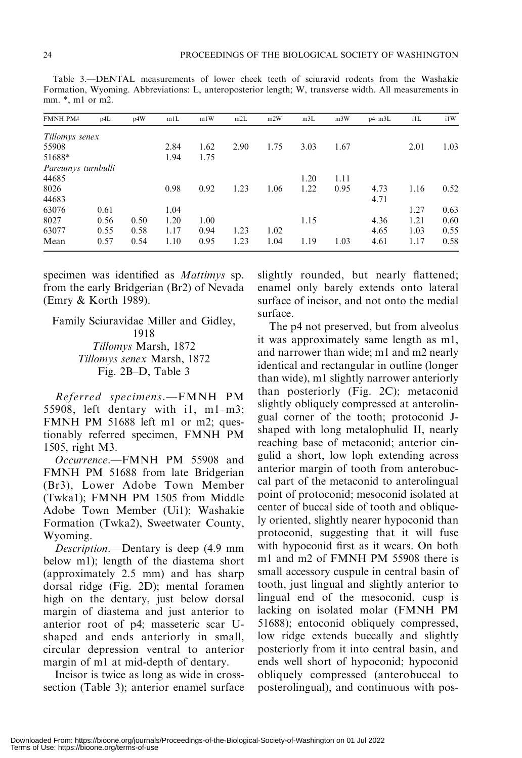| FMNH PM#           | p4L  | p4W  | m1L  | m1W  | m2L  | m2W  | m3L  | m <sub>3</sub> W | $p4 - m3L$ | ilL  | i1W  |
|--------------------|------|------|------|------|------|------|------|------------------|------------|------|------|
| Tillomys senex     |      |      |      |      |      |      |      |                  |            |      |      |
| 55908              |      |      | 2.84 | 1.62 | 2.90 | 1.75 | 3.03 | 1.67             |            | 2.01 | 1.03 |
| 51688*             |      |      | 1.94 | 1.75 |      |      |      |                  |            |      |      |
| Pareumys turnbulli |      |      |      |      |      |      |      |                  |            |      |      |
| 44685              |      |      |      |      |      |      | 1.20 | 1.11             |            |      |      |
| 8026               |      |      | 0.98 | 0.92 | 1.23 | 1.06 | 1.22 | 0.95             | 4.73       | 1.16 | 0.52 |
| 44683              |      |      |      |      |      |      |      |                  | 4.71       |      |      |
| 63076              | 0.61 |      | 1.04 |      |      |      |      |                  |            | 1.27 | 0.63 |
| 8027               | 0.56 | 0.50 | 1.20 | 1.00 |      |      | 1.15 |                  | 4.36       | 1.21 | 0.60 |
| 63077              | 0.55 | 0.58 | 1.17 | 0.94 | 1.23 | 1.02 |      |                  | 4.65       | 1.03 | 0.55 |
| Mean               | 0.57 | 0.54 | 1.10 | 0.95 | 1.23 | 1.04 | 1.19 | 1.03             | 4.61       | 1.17 | 0.58 |

Table 3.—DENTAL measurements of lower cheek teeth of sciuravid rodents from the Washakie Formation, Wyoming. Abbreviations: L, anteroposterior length; W, transverse width. All measurements in mm. \*, m1 or m2.

specimen was identified as Mattimys sp. from the early Bridgerian (Br2) of Nevada (Emry & Korth 1989).

Family Sciuravidae Miller and Gidley, 1918 Tillomys Marsh, 1872 Tillomys senex Marsh, 1872 Fig. 2B–D, Table 3

Referred specimens.—FMNH PM 55908, left dentary with i1, m1–m3; FMNH PM 51688 left m1 or m2; questionably referred specimen, FMNH PM 1505, right M3.

Occurrence.—FMNH PM 55908 and FMNH PM 51688 from late Bridgerian (Br3), Lower Adobe Town Member (Twka1); FMNH PM 1505 from Middle Adobe Town Member (Ui1); Washakie Formation (Twka2), Sweetwater County, Wyoming.

Description.—Dentary is deep (4.9 mm below m1); length of the diastema short (approximately 2.5 mm) and has sharp dorsal ridge (Fig. 2D); mental foramen high on the dentary, just below dorsal margin of diastema and just anterior to anterior root of p4; masseteric scar Ushaped and ends anteriorly in small, circular depression ventral to anterior margin of m1 at mid-depth of dentary.

Incisor is twice as long as wide in crosssection (Table 3); anterior enamel surface slightly rounded, but nearly flattened; enamel only barely extends onto lateral surface of incisor, and not onto the medial surface.

The p4 not preserved, but from alveolus it was approximately same length as m1, and narrower than wide; m1 and m2 nearly identical and rectangular in outline (longer than wide), m1 slightly narrower anteriorly than posteriorly (Fig. 2C); metaconid slightly obliquely compressed at anterolingual corner of the tooth; protoconid Jshaped with long metalophulid II, nearly reaching base of metaconid; anterior cingulid a short, low loph extending across anterior margin of tooth from anterobuccal part of the metaconid to anterolingual point of protoconid; mesoconid isolated at center of buccal side of tooth and obliquely oriented, slightly nearer hypoconid than protoconid, suggesting that it will fuse with hypoconid first as it wears. On both m1 and m2 of FMNH PM 55908 there is small accessory cuspule in central basin of tooth, just lingual and slightly anterior to lingual end of the mesoconid, cusp is lacking on isolated molar (FMNH PM 51688); entoconid obliquely compressed, low ridge extends buccally and slightly posteriorly from it into central basin, and ends well short of hypoconid; hypoconid obliquely compressed (anterobuccal to posterolingual), and continuous with pos-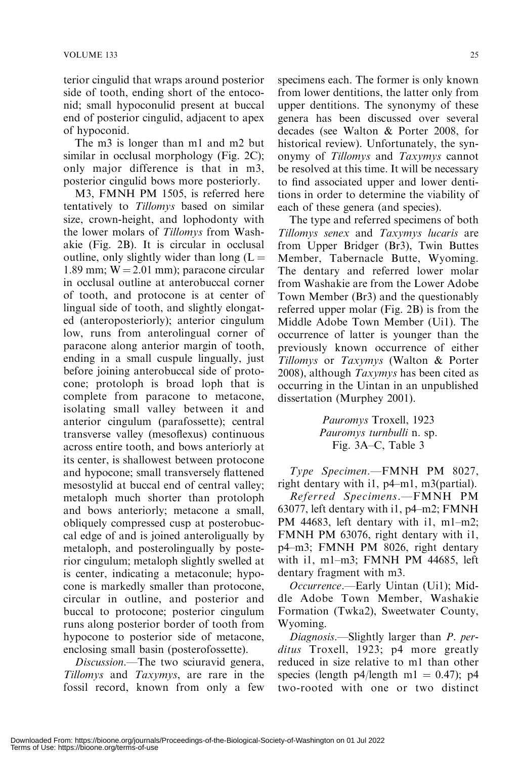terior cingulid that wraps around posterior side of tooth, ending short of the entoconid; small hypoconulid present at buccal end of posterior cingulid, adjacent to apex of hypoconid.

The m3 is longer than m1 and m2 but similar in occlusal morphology (Fig. 2C); only major difference is that in m3, posterior cingulid bows more posteriorly.

M3, FMNH PM 1505, is referred here tentatively to Tillomys based on similar size, crown-height, and lophodonty with the lower molars of Tillomys from Washakie (Fig. 2B). It is circular in occlusal outline, only slightly wider than long  $(L =$ 1.89 mm;  $W = 2.01$  mm); paracone circular in occlusal outline at anterobuccal corner of tooth, and protocone is at center of lingual side of tooth, and slightly elongated (anteroposteriorly); anterior cingulum low, runs from anterolingual corner of paracone along anterior margin of tooth, ending in a small cuspule lingually, just before joining anterobuccal side of protocone; protoloph is broad loph that is complete from paracone to metacone, isolating small valley between it and anterior cingulum (parafossette); central transverse valley (mesoflexus) continuous across entire tooth, and bows anteriorly at its center, is shallowest between protocone and hypocone; small transversely flattened mesostylid at buccal end of central valley; metaloph much shorter than protoloph and bows anteriorly; metacone a small, obliquely compressed cusp at posterobuccal edge of and is joined anteroligually by metaloph, and posterolingually by posterior cingulum; metaloph slightly swelled at is center, indicating a metaconule; hypocone is markedly smaller than protocone, circular in outline, and posterior and buccal to protocone; posterior cingulum runs along posterior border of tooth from hypocone to posterior side of metacone, enclosing small basin (posterofossette).

Discussion.—The two sciuravid genera, Tillomys and Taxymys, are rare in the fossil record, known from only a few

specimens each. The former is only known from lower dentitions, the latter only from upper dentitions. The synonymy of these genera has been discussed over several decades (see Walton & Porter 2008, for historical review). Unfortunately, the synonymy of Tillomys and Taxymys cannot be resolved at this time. It will be necessary to find associated upper and lower dentitions in order to determine the viability of each of these genera (and species).

The type and referred specimens of both Tillomys senex and Taxymys lucaris are from Upper Bridger (Br3), Twin Buttes Member, Tabernacle Butte, Wyoming. The dentary and referred lower molar from Washakie are from the Lower Adobe Town Member (Br3) and the questionably referred upper molar (Fig. 2B) is from the Middle Adobe Town Member (Ui1). The occurrence of latter is younger than the previously known occurrence of either Tillomys or Taxymys (Walton & Porter 2008), although Taxymys has been cited as occurring in the Uintan in an unpublished dissertation (Murphey 2001).

> Pauromys Troxell, 1923 Pauromys turnbulli n. sp. Fig. 3A–C, Table 3

Type Specimen.—FMNH PM 8027, right dentary with i1, p4–m1, m3(partial).

Referred Specimens.—FMNH PM 63077, left dentary with i1, p4–m2; FMNH PM 44683, left dentary with i1, m1–m2; FMNH PM 63076, right dentary with i1, p4–m3; FMNH PM 8026, right dentary with i1, m1–m3; FMNH PM 44685, left dentary fragment with m3.

Occurrence.—Early Uintan (Ui1); Middle Adobe Town Member, Washakie Formation (Twka2), Sweetwater County, Wyoming.

Diagnosis.—Slightly larger than *P. per*ditus Troxell, 1923; p4 more greatly reduced in size relative to m1 than other species (length p4/length m1 = 0.47); p4 two-rooted with one or two distinct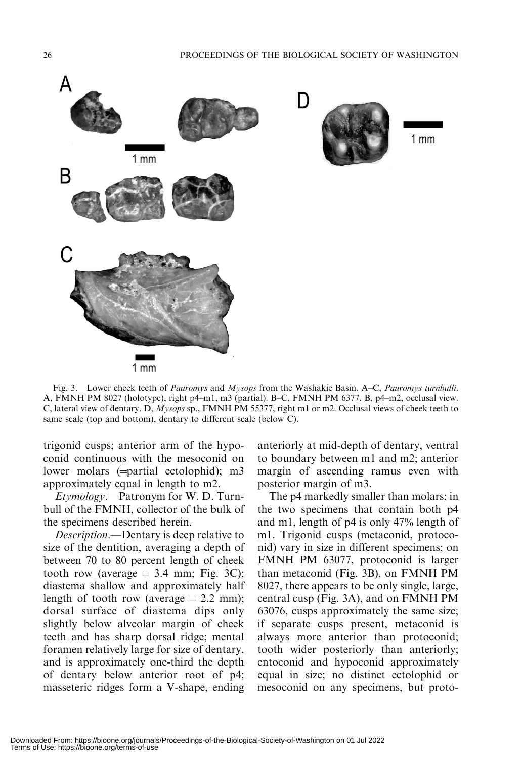

Fig. 3. Lower cheek teeth of *Pauromys* and *Mysops* from the Washakie Basin. A–C, *Pauromys turnbulli.* A, FMNH PM 8027 (holotype), right p4–m1, m3 (partial). B–C, FMNH PM 6377. B, p4–m2, occlusal view. C, lateral view of dentary. D, Mysops sp., FMNH PM 55377, right m1 or m2. Occlusal views of cheek teeth to same scale (top and bottom), dentary to different scale (below C).

trigonid cusps; anterior arm of the hypoconid continuous with the mesoconid on lower molars  $(=\text{partial} \cdot \text{ecto} \cdot \text{partial})$ ; m3 approximately equal in length to m2.

Etymology.—Patronym for W. D. Turnbull of the FMNH, collector of the bulk of the specimens described herein.

Description.—Dentary is deep relative to size of the dentition, averaging a depth of between 70 to 80 percent length of cheek tooth row (average  $= 3.4$  mm; Fig. 3C); diastema shallow and approximately half length of tooth row (average  $= 2.2$  mm); dorsal surface of diastema dips only slightly below alveolar margin of cheek teeth and has sharp dorsal ridge; mental foramen relatively large for size of dentary, and is approximately one-third the depth of dentary below anterior root of p4; masseteric ridges form a V-shape, ending anteriorly at mid-depth of dentary, ventral to boundary between m1 and m2; anterior margin of ascending ramus even with posterior margin of m3.

The p4 markedly smaller than molars; in the two specimens that contain both p4 and m1, length of p4 is only 47% length of m1. Trigonid cusps (metaconid, protoconid) vary in size in different specimens; on FMNH PM 63077, protoconid is larger than metaconid (Fig. 3B), on FMNH PM 8027, there appears to be only single, large, central cusp (Fig. 3A), and on FMNH PM 63076, cusps approximately the same size; if separate cusps present, metaconid is always more anterior than protoconid; tooth wider posteriorly than anteriorly; entoconid and hypoconid approximately equal in size; no distinct ectolophid or mesoconid on any specimens, but proto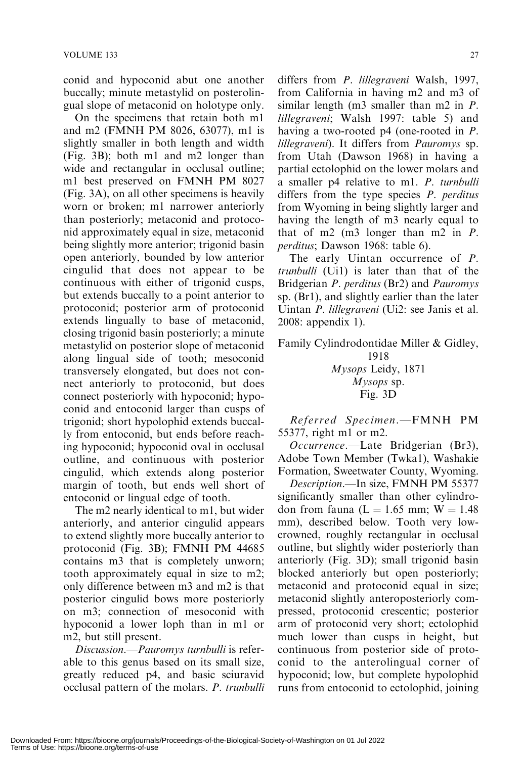conid and hypoconid abut one another buccally; minute metastylid on posterolingual slope of metaconid on holotype only.

On the specimens that retain both m1 and m2 (FMNH PM 8026, 63077), m1 is slightly smaller in both length and width (Fig. 3B); both m1 and m2 longer than wide and rectangular in occlusal outline; m1 best preserved on FMNH PM 8027 (Fig. 3A), on all other specimens is heavily worn or broken; m1 narrower anteriorly than posteriorly; metaconid and protoconid approximately equal in size, metaconid being slightly more anterior; trigonid basin open anteriorly, bounded by low anterior cingulid that does not appear to be continuous with either of trigonid cusps, but extends buccally to a point anterior to protoconid; posterior arm of protoconid extends lingually to base of metaconid, closing trigonid basin posteriorly; a minute metastylid on posterior slope of metaconid along lingual side of tooth; mesoconid transversely elongated, but does not connect anteriorly to protoconid, but does connect posteriorly with hypoconid; hypoconid and entoconid larger than cusps of trigonid; short hypolophid extends buccally from entoconid, but ends before reaching hypoconid; hypoconid oval in occlusal outline, and continuous with posterior cingulid, which extends along posterior margin of tooth, but ends well short of entoconid or lingual edge of tooth.

The m2 nearly identical to m1, but wider anteriorly, and anterior cingulid appears to extend slightly more buccally anterior to protoconid (Fig. 3B); FMNH PM 44685 contains m3 that is completely unworn; tooth approximately equal in size to m2; only difference between m3 and m2 is that posterior cingulid bows more posteriorly on m3; connection of mesoconid with hypoconid a lower loph than in m1 or m2, but still present.

Discussion.—Pauromys turnbulli is referable to this genus based on its small size, greatly reduced p4, and basic sciuravid occlusal pattern of the molars. P. trunbulli differs from P. lillegraveni Walsh, 1997, from California in having m2 and m3 of similar length (m3 smaller than m2 in P. lillegraveni; Walsh 1997: table 5) and having a two-rooted p4 (one-rooted in P. lillegraveni). It differs from Pauromys sp. from Utah (Dawson 1968) in having a partial ectolophid on the lower molars and a smaller p4 relative to m1. P. turnbulli differs from the type species  $P$ . perditus from Wyoming in being slightly larger and having the length of m3 nearly equal to that of m2 (m3 longer than m2 in P. perditus; Dawson 1968: table 6).

The early Uintan occurrence of P. trunbulli (Ui1) is later than that of the Bridgerian P. perditus (Br2) and Pauromys sp. (Br1), and slightly earlier than the later Uintan P. lillegraveni (Ui2: see Janis et al. 2008: appendix 1).

Family Cylindrodontidae Miller & Gidley,

1918 Mysops Leidy, 1871 Mysops sp. Fig. 3D

Referred Specimen.—FMNH PM 55377, right m1 or m2.

Occurrence.—Late Bridgerian (Br3), Adobe Town Member (Twka1), Washakie Formation, Sweetwater County, Wyoming.

Description.—In size, FMNH PM 55377 significantly smaller than other cylindrodon from fauna ( $L = 1.65$  mm;  $W = 1.48$ mm), described below. Tooth very lowcrowned, roughly rectangular in occlusal outline, but slightly wider posteriorly than anteriorly (Fig. 3D); small trigonid basin blocked anteriorly but open posteriorly; metaconid and protoconid equal in size; metaconid slightly anteroposteriorly compressed, protoconid crescentic; posterior arm of protoconid very short; ectolophid much lower than cusps in height, but continuous from posterior side of protoconid to the anterolingual corner of hypoconid; low, but complete hypolophid runs from entoconid to ectolophid, joining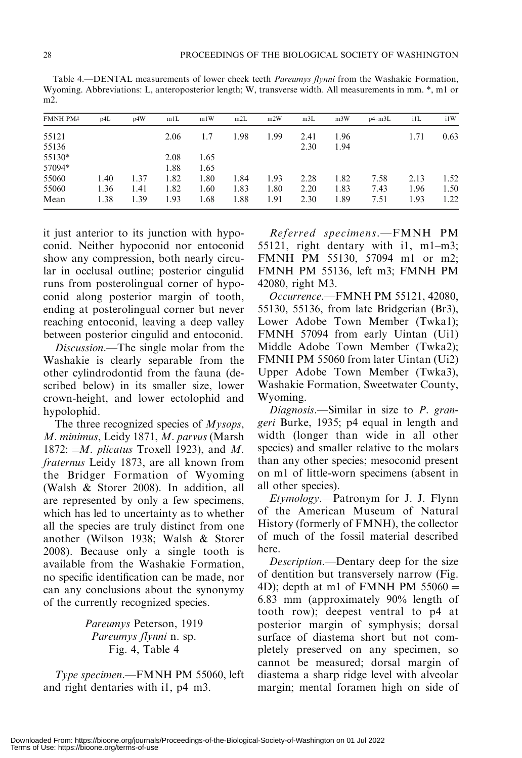Table 4.—DENTAL measurements of lower cheek teeth Pareumys flynni from the Washakie Formation, Wyoming. Abbreviations: L, anteroposterior length; W, transverse width. All measurements in mm. \*, m1 or m2.

| FMNH PM# | p4L  | p4W  | m1L  | m1W  | m2L  | m2W  | m3L  | m <sub>3</sub> W | $p4-m3L$ | i1L  | i1W  |
|----------|------|------|------|------|------|------|------|------------------|----------|------|------|
| 55121    |      |      | 2.06 | 1.7  | 1.98 | 1.99 | 2.41 | 1.96             |          | 1.71 | 0.63 |
| 55136    |      |      |      |      |      |      | 2.30 | 1.94             |          |      |      |
| 55130*   |      |      | 2.08 | 1.65 |      |      |      |                  |          |      |      |
| 57094*   |      |      | 1.88 | 1.65 |      |      |      |                  |          |      |      |
| 55060    | 1.40 | 1.37 | 1.82 | 1.80 | 1.84 | 1.93 | 2.28 | 1.82             | 7.58     | 2.13 | 1.52 |
| 55060    | 1.36 | 1.41 | 1.82 | 1.60 | 1.83 | 1.80 | 2.20 | 1.83             | 7.43     | 1.96 | 1.50 |
| Mean     | 1.38 | 1.39 | 1.93 | .68  | 1.88 | 1.91 | 2.30 | 1.89             | 7.51     | 1.93 | 1.22 |

it just anterior to its junction with hypoconid. Neither hypoconid nor entoconid show any compression, both nearly circular in occlusal outline; posterior cingulid runs from posterolingual corner of hypoconid along posterior margin of tooth, ending at posterolingual corner but never reaching entoconid, leaving a deep valley between posterior cingulid and entoconid.

Discussion.—The single molar from the Washakie is clearly separable from the other cylindrodontid from the fauna (described below) in its smaller size, lower crown-height, and lower ectolophid and hypolophid.

The three recognized species of *Mysops*, M. minimus, Leidy 1871, M. parvus (Marsh 1872:  $=M.$  plicatus Troxell 1923), and M. fraternus Leidy 1873, are all known from the Bridger Formation of Wyoming (Walsh & Storer 2008). In addition, all are represented by only a few specimens, which has led to uncertainty as to whether all the species are truly distinct from one another (Wilson 1938; Walsh & Storer 2008). Because only a single tooth is available from the Washakie Formation, no specific identification can be made, nor can any conclusions about the synonymy of the currently recognized species.

> Pareumys Peterson, 1919 Pareumys flynni n. sp. Fig. 4, Table 4

Type specimen.—FMNH PM 55060, left and right dentaries with i1, p4–m3.

Referred specimens.—FMNH PM 55121, right dentary with i1, m1–m3; FMNH PM 55130, 57094 m1 or m2; FMNH PM 55136, left m3; FMNH PM 42080, right M3.

Occurrence.—FMNH PM 55121, 42080, 55130, 55136, from late Bridgerian (Br3), Lower Adobe Town Member (Twka1); FMNH 57094 from early Uintan (Ui1) Middle Adobe Town Member (Twka2); FMNH PM 55060 from later Uintan (Ui2) Upper Adobe Town Member (Twka3), Washakie Formation, Sweetwater County, Wyoming.

Diagnosis.—Similar in size to P. grangeri Burke, 1935; p4 equal in length and width (longer than wide in all other species) and smaller relative to the molars than any other species; mesoconid present on m1 of little-worn specimens (absent in all other species).

Etymology.—Patronym for J. J. Flynn of the American Museum of Natural History (formerly of FMNH), the collector of much of the fossil material described here.

Description.—Dentary deep for the size of dentition but transversely narrow (Fig. 4D); depth at m1 of FMNH PM  $55060 =$ 6.83 mm (approximately 90% length of tooth row); deepest ventral to p4 at posterior margin of symphysis; dorsal surface of diastema short but not completely preserved on any specimen, so cannot be measured; dorsal margin of diastema a sharp ridge level with alveolar margin; mental foramen high on side of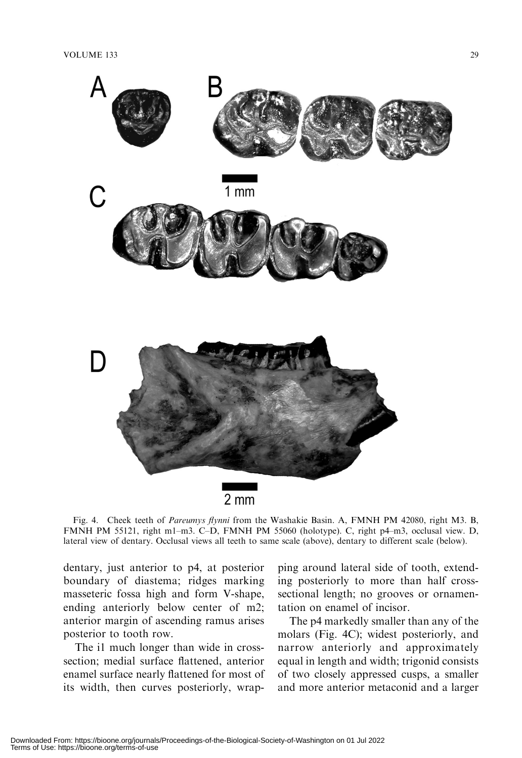

 $2 \, \text{mm}$ 

Fig. 4. Cheek teeth of Pareumys flynni from the Washakie Basin. A, FMNH PM 42080, right M3. B, FMNH PM 55121, right m1–m3. C–D, FMNH PM 55060 (holotype). C, right p4–m3, occlusal view. D, lateral view of dentary. Occlusal views all teeth to same scale (above), dentary to different scale (below).

dentary, just anterior to p4, at posterior boundary of diastema; ridges marking masseteric fossa high and form V-shape, ending anteriorly below center of m2; anterior margin of ascending ramus arises posterior to tooth row.

The i1 much longer than wide in crosssection; medial surface flattened, anterior enamel surface nearly flattened for most of its width, then curves posteriorly, wrap-

ping around lateral side of tooth, extending posteriorly to more than half crosssectional length; no grooves or ornamentation on enamel of incisor.

The p4 markedly smaller than any of the molars (Fig. 4C); widest posteriorly, and narrow anteriorly and approximately equal in length and width; trigonid consists of two closely appressed cusps, a smaller and more anterior metaconid and a larger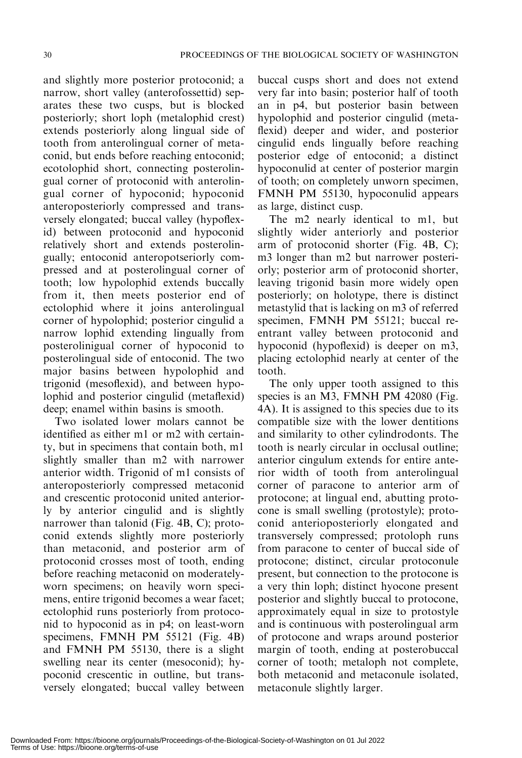and slightly more posterior protoconid; a narrow, short valley (anterofossettid) separates these two cusps, but is blocked posteriorly; short loph (metalophid crest) extends posteriorly along lingual side of tooth from anterolingual corner of metaconid, but ends before reaching entoconid; ecotolophid short, connecting posterolingual corner of protoconid with anterolingual corner of hypoconid; hypoconid anteroposteriorly compressed and transversely elongated; buccal valley (hypoflexid) between protoconid and hypoconid relatively short and extends posterolingually; entoconid anteropotseriorly compressed and at posterolingual corner of tooth; low hypolophid extends buccally from it, then meets posterior end of ectolophid where it joins anterolingual corner of hypolophid; posterior cingulid a narrow lophid extending lingually from posterolinigual corner of hypoconid to posterolingual side of entoconid. The two major basins between hypolophid and trigonid (mesoflexid), and between hypolophid and posterior cingulid (metaflexid) deep; enamel within basins is smooth.

Two isolated lower molars cannot be identified as either m1 or m2 with certainty, but in specimens that contain both, m1 slightly smaller than m2 with narrower anterior width. Trigonid of m1 consists of anteroposteriorly compressed metaconid and crescentic protoconid united anteriorly by anterior cingulid and is slightly narrower than talonid (Fig. 4B, C); protoconid extends slightly more posteriorly than metaconid, and posterior arm of protoconid crosses most of tooth, ending before reaching metaconid on moderatelyworn specimens; on heavily worn specimens, entire trigonid becomes a wear facet; ectolophid runs posteriorly from protoconid to hypoconid as in p4; on least-worn specimens, FMNH PM 55121 (Fig. 4B) and FMNH PM 55130, there is a slight swelling near its center (mesoconid); hypoconid crescentic in outline, but transversely elongated; buccal valley between buccal cusps short and does not extend very far into basin; posterior half of tooth an in p4, but posterior basin between hypolophid and posterior cingulid (metaflexid) deeper and wider, and posterior cingulid ends lingually before reaching posterior edge of entoconid; a distinct hypoconulid at center of posterior margin of tooth; on completely unworn specimen, FMNH PM 55130, hypoconulid appears as large, distinct cusp.

The m2 nearly identical to m1, but slightly wider anteriorly and posterior arm of protoconid shorter (Fig. 4B, C); m3 longer than m2 but narrower posteriorly; posterior arm of protoconid shorter, leaving trigonid basin more widely open posteriorly; on holotype, there is distinct metastylid that is lacking on m3 of referred specimen, FMNH PM 55121; buccal reentrant valley between protoconid and hypoconid (hypoflexid) is deeper on m3, placing ectolophid nearly at center of the tooth.

The only upper tooth assigned to this species is an M3, FMNH PM 42080 (Fig. 4A). It is assigned to this species due to its compatible size with the lower dentitions and similarity to other cylindrodonts. The tooth is nearly circular in occlusal outline; anterior cingulum extends for entire anterior width of tooth from anterolingual corner of paracone to anterior arm of protocone; at lingual end, abutting protocone is small swelling (protostyle); protoconid anterioposteriorly elongated and transversely compressed; protoloph runs from paracone to center of buccal side of protocone; distinct, circular protoconule present, but connection to the protocone is a very thin loph; distinct hyocone present posterior and slightly buccal to protocone, approximately equal in size to protostyle and is continuous with posterolingual arm of protocone and wraps around posterior margin of tooth, ending at posterobuccal corner of tooth; metaloph not complete, both metaconid and metaconule isolated, metaconule slightly larger.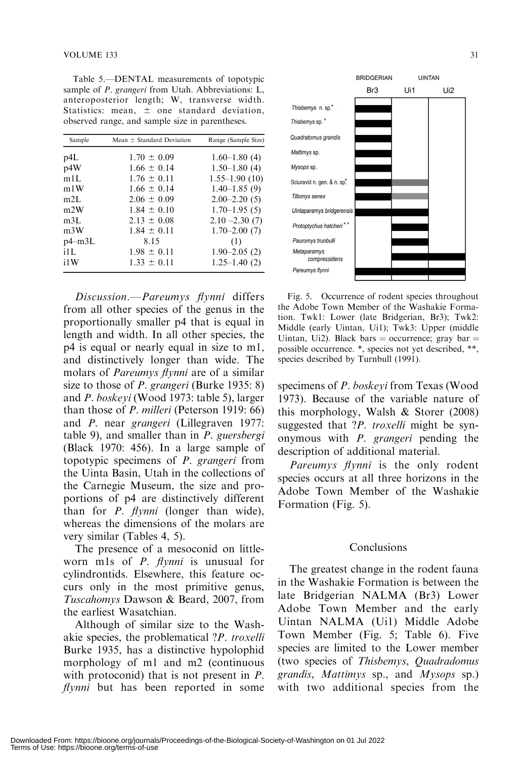Table 5.—DENTAL measurements of topotypic sample of *P. grangeri* from Utah. Abbreviations: L, anteroposterior length; W, transverse width. Statistics: mean,  $\pm$  one standard deviation, observed range, and sample size in parentheses.

| Sample           | Mean $\pm$ Standard Deviation | Range (Sample Size) |
|------------------|-------------------------------|---------------------|
| p4L              | $1.70 \pm 0.09$               | $1.60 - 1.80(4)$    |
| p4W              | $1.66 \pm 0.14$               | $1.50 - 1.80(4)$    |
| m1L              | $1.76 \pm 0.11$               | $1.55 - 1.90(10)$   |
| m1W              | $1.66 \pm 0.14$               | $1.40 - 1.85(9)$    |
| m2L              | $2.06 \pm 0.09$               | $2.00 - 2.20(5)$    |
| m2W              | $1.84 \pm 0.10$               | $1.70 - 1.95(5)$    |
| m3L              | $2.13 \pm 0.08$               | $2.10 - 2.30(7)$    |
| m <sub>3</sub> W | $1.84 \pm 0.11$               | $1.70 - 2.00(7)$    |
| $p4$ –m $3L$     | 8.15                          | (1)                 |
| i1L              | $1.98 \pm 0.11$               | $1.90 - 2.05(2)$    |
| i1W              | $1.33 \pm 0.11$               | $1.25 - 1.40(2)$    |

Discussion.—Pareumys flynni differs from all other species of the genus in the proportionally smaller p4 that is equal in length and width. In all other species, the p4 is equal or nearly equal in size to m1, and distinctively longer than wide. The molars of Pareumys flynni are of a similar size to those of *P. grangeri* (Burke 1935: 8) and P. boskeyi (Wood 1973: table 5), larger than those of P. milleri (Peterson 1919: 66) and P. near grangeri (Lillegraven 1977: table 9), and smaller than in P. guersbergi (Black 1970: 456). In a large sample of topotypic specimens of P. grangeri from the Uinta Basin, Utah in the collections of the Carnegie Museum, the size and proportions of p4 are distinctively different than for  $P$ . flynni (longer than wide), whereas the dimensions of the molars are very similar (Tables 4, 5).

The presence of a mesoconid on littleworn m1s of *P. flynni* is unusual for cylindrontids. Elsewhere, this feature occurs only in the most primitive genus, Tuscahomys Dawson & Beard, 2007, from the earliest Wasatchian.

Although of similar size to the Washakie species, the problematical ?P. troxelli Burke 1935, has a distinctive hypolophid morphology of m1 and m2 (continuous with protoconid) that is not present in *P*.  $flynni$  but has been reported in some



Fig. 5. Occurrence of rodent species throughout the Adobe Town Member of the Washakie Formation. Twk1: Lower (late Bridgerian, Br3); Twk2: Middle (early Uintan, Ui1); Twk3: Upper (middle Uintan, Ui2). Black bars = occurrence; gray bar = possible occurrence. \*, species not yet described, \*\*, species described by Turnbull (1991).

specimens of P. boskeyi from Texas (Wood 1973). Because of the variable nature of this morphology, Walsh & Storer (2008) suggested that ?*P. troxelli* might be synonymous with P. grangeri pending the description of additional material.

Pareumys flynni is the only rodent species occurs at all three horizons in the Adobe Town Member of the Washakie Formation (Fig. 5).

#### Conclusions

The greatest change in the rodent fauna in the Washakie Formation is between the late Bridgerian NALMA (Br3) Lower Adobe Town Member and the early Uintan NALMA (Ui1) Middle Adobe Town Member (Fig. 5; Table 6). Five species are limited to the Lower member (two species of Thisbemys, Quadradomus grandis, Mattimys sp., and Mysops sp.) with two additional species from the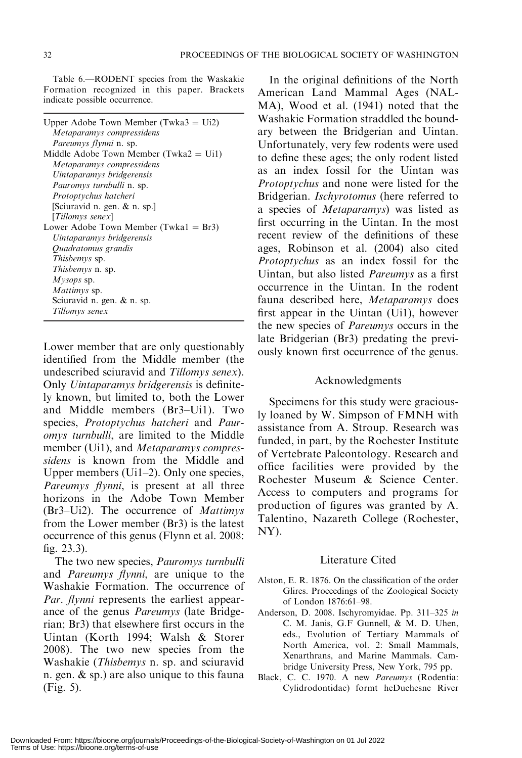Table 6.—RODENT species from the Waskakie Formation recognized in this paper. Brackets indicate possible occurrence.

| Upper Adobe Town Member (Twka $3 = \text{Ui2}$ )<br>Metaparamys compressidens     |
|-----------------------------------------------------------------------------------|
| <i>Pareumys flynni</i> n. sp.<br>Middle Adobe Town Member (Twka $2 = \text{Ui}$ ) |
| Metaparamys compressidens                                                         |
| Uintaparamys bridgerensis                                                         |
| <i>Pauromys turnbulli</i> n. sp.                                                  |
| Protoptychus hatcheri                                                             |
| [Sciuravid n. gen. & n. sp.]                                                      |
| [Tillomys senex]                                                                  |
| Lower Adobe Town Member (Twka $1 = Br3$ )                                         |
| Uintaparamys bridgerensis                                                         |
| Quadratomus grandis                                                               |
| <i>Thisbemys</i> sp.                                                              |
| <i>Thisbemys</i> n. sp.                                                           |
| $M$ ysops sp.                                                                     |
| Mattimys sp.                                                                      |
| Sciuravid n. gen. & n. sp.                                                        |
| Tillomys senex                                                                    |

Lower member that are only questionably identified from the Middle member (the undescribed sciuravid and Tillomys senex). Only Uintaparamys bridgerensis is definitely known, but limited to, both the Lower and Middle members (Br3–Ui1). Two species, Protoptychus hatcheri and Pauromys turnbulli, are limited to the Middle member (Ui1), and *Metaparamys compres*sidens is known from the Middle and Upper members (Ui1–2). Only one species, Pareumys flynni, is present at all three horizons in the Adobe Town Member (Br3–Ui2). The occurrence of Mattimys from the Lower member (Br3) is the latest occurrence of this genus (Flynn et al. 2008: fig. 23.3).

The two new species, Pauromys turnbulli and Pareumys flynni, are unique to the Washakie Formation. The occurrence of Par. flynni represents the earliest appearance of the genus Pareumys (late Bridgerian; Br3) that elsewhere first occurs in the Uintan (Korth 1994; Walsh & Storer 2008). The two new species from the Washakie (Thisbemys n. sp. and sciuravid n. gen. & sp.) are also unique to this fauna (Fig. 5).

In the original definitions of the North American Land Mammal Ages (NAL-MA), Wood et al. (1941) noted that the Washakie Formation straddled the boundary between the Bridgerian and Uintan. Unfortunately, very few rodents were used to define these ages; the only rodent listed as an index fossil for the Uintan was Protoptychus and none were listed for the Bridgerian. Ischyrotomus (here referred to a species of Metaparamys) was listed as first occurring in the Uintan. In the most recent review of the definitions of these ages, Robinson et al. (2004) also cited Protoptychus as an index fossil for the Uintan, but also listed Pareumys as a first occurrence in the Uintan. In the rodent fauna described here, Metaparamys does first appear in the Uintan (Ui1), however the new species of Pareumys occurs in the late Bridgerian (Br3) predating the previously known first occurrence of the genus.

## Acknowledgments

Specimens for this study were graciously loaned by W. Simpson of FMNH with assistance from A. Stroup. Research was funded, in part, by the Rochester Institute of Vertebrate Paleontology. Research and office facilities were provided by the Rochester Museum & Science Center. Access to computers and programs for production of figures was granted by A. Talentino, Nazareth College (Rochester, NY).

## Literature Cited

- Alston, E. R. 1876. On the classification of the order Glires. Proceedings of the Zoological Society of London 1876:61–98.
- Anderson, D. 2008. Ischyromyidae. Pp. 311–325 in C. M. Janis, G.F Gunnell, & M. D. Uhen, eds., Evolution of Tertiary Mammals of North America, vol. 2: Small Mammals, Xenarthrans, and Marine Mammals. Cambridge University Press, New York, 795 pp.
- Black, C. C. 1970. A new Pareumys (Rodentia: Cylidrodontidae) formt heDuchesne River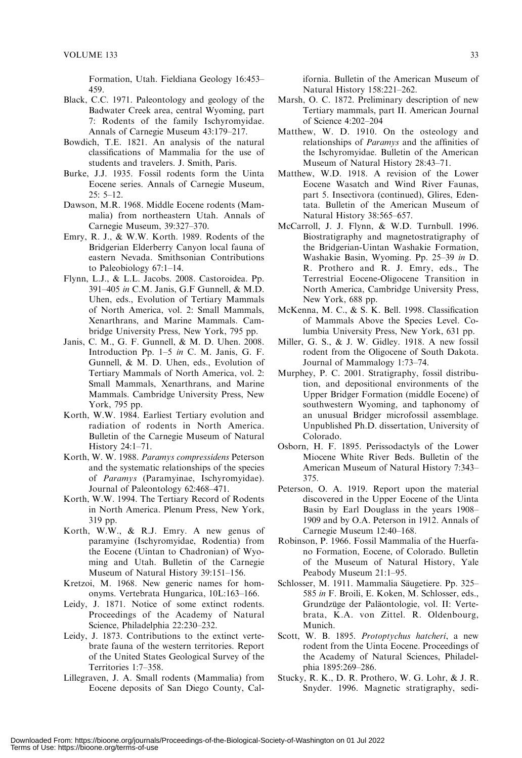Formation, Utah. Fieldiana Geology 16:453– 459.

- Black, C.C. 1971. Paleontology and geology of the Badwater Creek area, central Wyoming, part 7: Rodents of the family Ischyromyidae. Annals of Carnegie Museum 43:179–217.
- Bowdich, T.E. 1821. An analysis of the natural classifications of Mammalia for the use of students and travelers. J. Smith, Paris.
- Burke, J.J. 1935. Fossil rodents form the Uinta Eocene series. Annals of Carnegie Museum, 25: 5–12.
- Dawson, M.R. 1968. Middle Eocene rodents (Mammalia) from northeastern Utah. Annals of Carnegie Museum, 39:327–370.
- Emry, R. J., & W.W. Korth. 1989. Rodents of the Bridgerian Elderberry Canyon local fauna of eastern Nevada. Smithsonian Contributions to Paleobiology 67:1–14.
- Flynn, L.J., & L.L. Jacobs. 2008. Castoroidea. Pp. 391–405 in C.M. Janis, G.F Gunnell, & M.D. Uhen, eds., Evolution of Tertiary Mammals of North America, vol. 2: Small Mammals, Xenarthrans, and Marine Mammals. Cambridge University Press, New York, 795 pp.
- Janis, C. M., G. F. Gunnell, & M. D. Uhen. 2008. Introduction Pp. 1–5 in C. M. Janis, G. F. Gunnell, & M. D. Uhen, eds., Evolution of Tertiary Mammals of North America, vol. 2: Small Mammals, Xenarthrans, and Marine Mammals. Cambridge University Press, New York, 795 pp.
- Korth, W.W. 1984. Earliest Tertiary evolution and radiation of rodents in North America. Bulletin of the Carnegie Museum of Natural History 24:1–71.
- Korth, W. W. 1988. Paramys compressidens Peterson and the systematic relationships of the species of Paramys (Paramyinae, Ischyromyidae). Journal of Paleontology 62:468–471.
- Korth, W.W. 1994. The Tertiary Record of Rodents in North America. Plenum Press, New York, 319 pp.
- Korth, W.W., & R.J. Emry. A new genus of paramyine (Ischyromyidae, Rodentia) from the Eocene (Uintan to Chadronian) of Wyoming and Utah. Bulletin of the Carnegie Museum of Natural History 39:151–156.
- Kretzoi, M. 1968. New generic names for homonyms. Vertebrata Hungarica, 10L:163–166.
- Leidy, J. 1871. Notice of some extinct rodents. Proceedings of the Academy of Natural Science, Philadelphia 22:230–232.
- Leidy, J. 1873. Contributions to the extinct vertebrate fauna of the western territories. Report of the United States Geological Survey of the Territories 1:7–358.
- Lillegraven, J. A. Small rodents (Mammalia) from Eocene deposits of San Diego County, Cal-

ifornia. Bulletin of the American Museum of Natural History 158:221–262.

- Marsh, O. C. 1872. Preliminary description of new Tertiary mammals, part II. American Journal of Science 4:202–204
- Matthew, W. D. 1910. On the osteology and relationships of Paramys and the affinities of the Ischyromyidae. Bulletin of the American Museum of Natural History 28:43–71.
- Matthew, W.D. 1918. A revision of the Lower Eocene Wasatch and Wind River Faunas, part 5. Insectivora (continued), Glires, Edentata. Bulletin of the American Museum of Natural History 38:565–657.
- McCarroll, J. J. Flynn, & W.D. Turnbull. 1996. Biostratigraphy and magnetostratigraphy of the Bridgerian-Uintan Washakie Formation, Washakie Basin, Wyoming. Pp. 25–39 in D. R. Prothero and R. J. Emry, eds., The Terrestrial Eocene-Oligocene Transition in North America, Cambridge University Press, New York, 688 pp.
- McKenna, M. C., & S. K. Bell. 1998. Classification of Mammals Above the Species Level. Columbia University Press, New York, 631 pp.
- Miller, G. S., & J. W. Gidley. 1918. A new fossil rodent from the Oligocene of South Dakota. Journal of Mammalogy 1:73–74.
- Murphey, P. C. 2001. Stratigraphy, fossil distribution, and depositional environments of the Upper Bridger Formation (middle Eocene) of southwestern Wyoming, and taphonomy of an unusual Bridger microfossil assemblage. Unpublished Ph.D. dissertation, University of Colorado.
- Osborn, H. F. 1895. Perissodactyls of the Lower Miocene White River Beds. Bulletin of the American Museum of Natural History 7:343– 375.
- Peterson, O. A. 1919. Report upon the material discovered in the Upper Eocene of the Uinta Basin by Earl Douglass in the years 1908– 1909 and by O.A. Peterson in 1912. Annals of Carnegie Museum 12:40–168.
- Robinson, P. 1966. Fossil Mammalia of the Huerfano Formation, Eocene, of Colorado. Bulletin of the Museum of Natural History, Yale Peabody Museum 21:1–95.
- Schlosser, M. 1911. Mammalia Säugetiere. Pp. 325– 585 in F. Broili, E. Koken, M. Schlosser, eds., Grundzüge der Paläontologie, vol. II: Vertebrata, K.A. von Zittel. R. Oldenbourg, Munich.
- Scott, W. B. 1895. Protoptychus hatcheri, a new rodent from the Uinta Eocene. Proceedings of the Academy of Natural Sciences, Philadelphia 1895:269–286.
- Stucky, R. K., D. R. Prothero, W. G. Lohr, & J. R. Snyder. 1996. Magnetic stratigraphy, sedi-